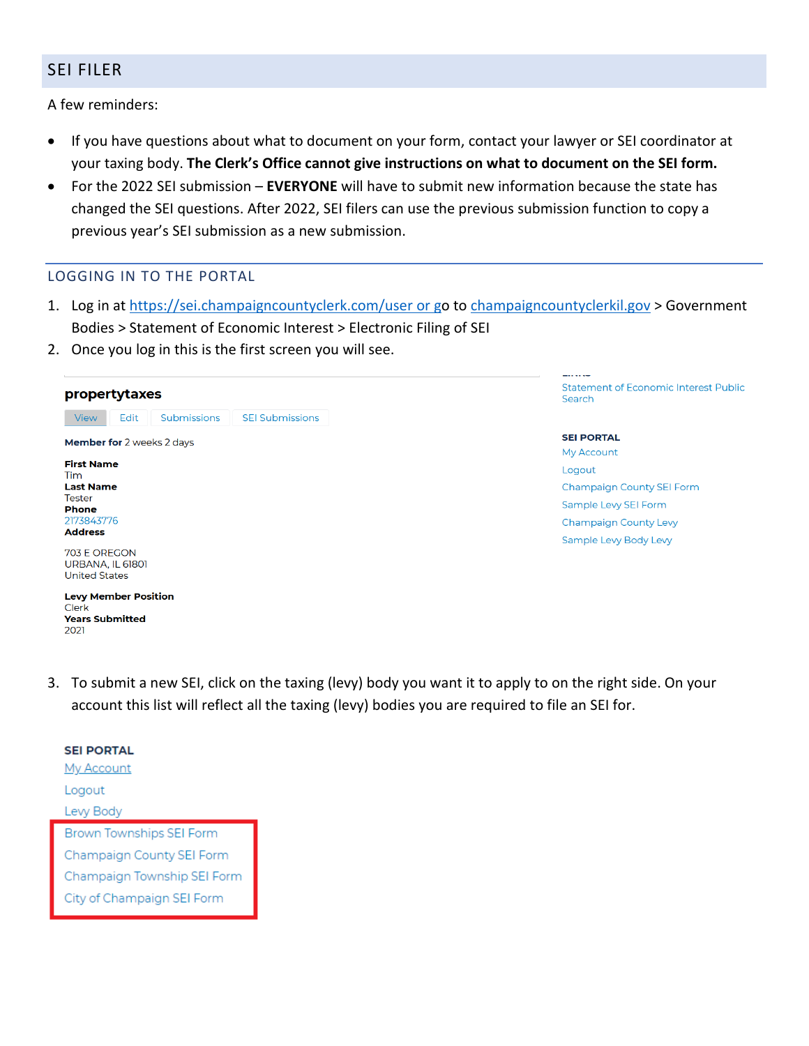## SEI FILER

A few reminders:

- If you have questions about what to document on your form, contact your lawyer or SEI coordinator at your taxing body. **The Clerk's Office cannot give instructions on what to document on the SEI form.**
- For the 2022 SEI submission **EVERYONE** will have to submit new information because the state has changed the SEI questions. After 2022, SEI filers can use the previous submission function to copy a previous year's SEI submission as a new submission.

### LOGGING IN TO THE PORTAL

- 1. Log in at<https://sei.champaigncountyclerk.com/user> or go to [champaigncountyclerkil.gov](https://champaigncountyclerkil.gov/) > Government Bodies > Statement of Economic Interest > Electronic Filing of SEI
- 2. Once you log in this is the first screen you will see.

#### propertytaxes

View Edit Submissions **SEI Submissions** Member for 2 weeks 2 days **First Name** Tim **Last Name Tester Phone** 2173843776 **Address** 

703 E OREGON **URBANA, IL 61801 United States** 

**Levy Member Position** Clerk **Years Submitted** 2021

**Statement of Economic Interest Public** Search

**SEI PORTAL** My Account Logout **Champaign County SEI Form** Sample Levy SEI Form **Champaign County Levy** Sample Levy Body Levy

3. To submit a new SEI, click on the taxing (levy) body you want it to apply to on the right side. On your account this list will reflect all the taxing (levy) bodies you are required to file an SEI for.

| <b>SEI PORTAL</b>               |
|---------------------------------|
| <u>My Account</u>               |
| Logout                          |
| Levy Body                       |
| <b>Brown Townships SEI Form</b> |
| Champaign County SEI Form       |
|                                 |
| Champaign Township SEI Forn     |
| City of Champaign SEI Form      |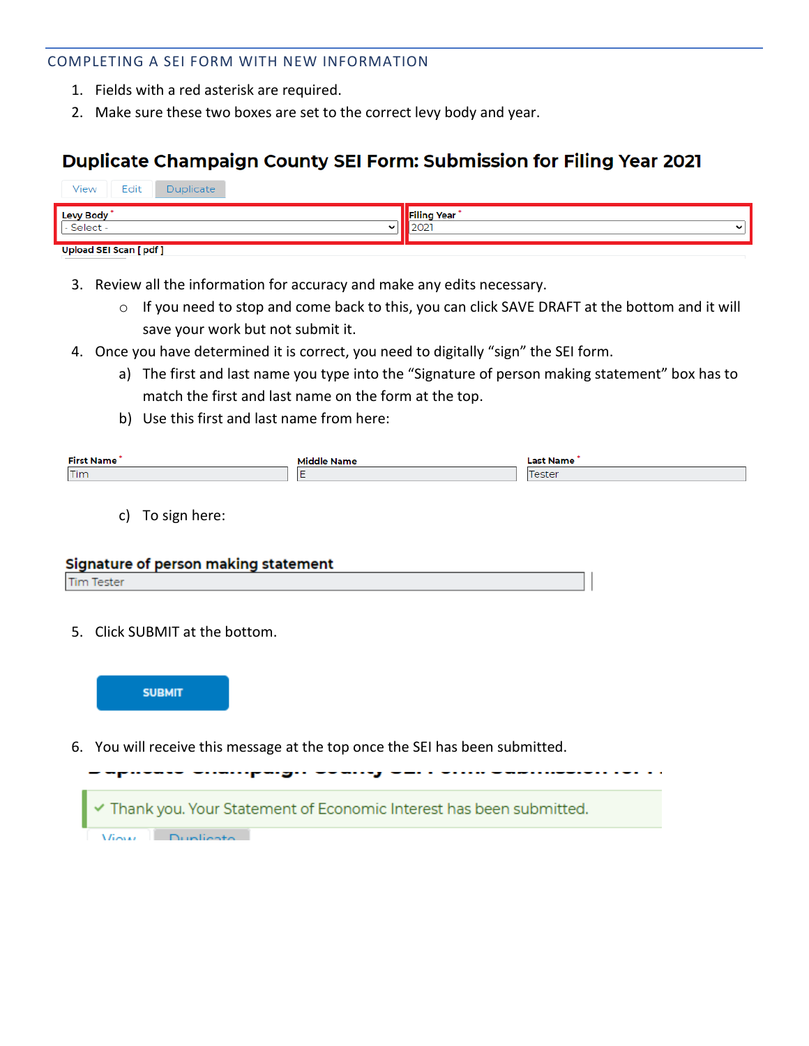### COMPLETING A SEI FORM WITH NEW INFORMATION

- 1. Fields with a red asterisk are required.
- 2. Make sure these two boxes are set to the correct levy body and year.

# Duplicate Champaign County SEI Form: Submission for Filing Year 2021

| Edit<br>View<br>Duplicate      |                         |
|--------------------------------|-------------------------|
| <b>Levy Body</b><br>- Select - | <b>Filing Year</b><br>ີ |
| <b>Upload SEI Scan [pdf]</b>   |                         |

- 3. Review all the information for accuracy and make any edits necessary.
	- o If you need to stop and come back to this, you can click SAVE DRAFT at the bottom and it will save your work but not submit it.
- 4. Once you have determined it is correct, you need to digitally "sign" the SEI form.
	- a) The first and last name you type into the "Signature of person making statement" box has to match the first and last name on the form at the top.
	- b) Use this first and last name from here:

| <b>First Name</b> | <i><b>Aiddle Name</b></i> | Last Name |
|-------------------|---------------------------|-----------|
| Tim               |                           |           |
|                   |                           |           |

c) To sign here:

#### Signature of person making statement

**Tim Tester** 

5. Click SUBMIT at the bottom.



6. You will receive this message at the top once the SEI has been submitted.

Thank you. Your Statement of Economic Interest has been submitted. View Dunlieste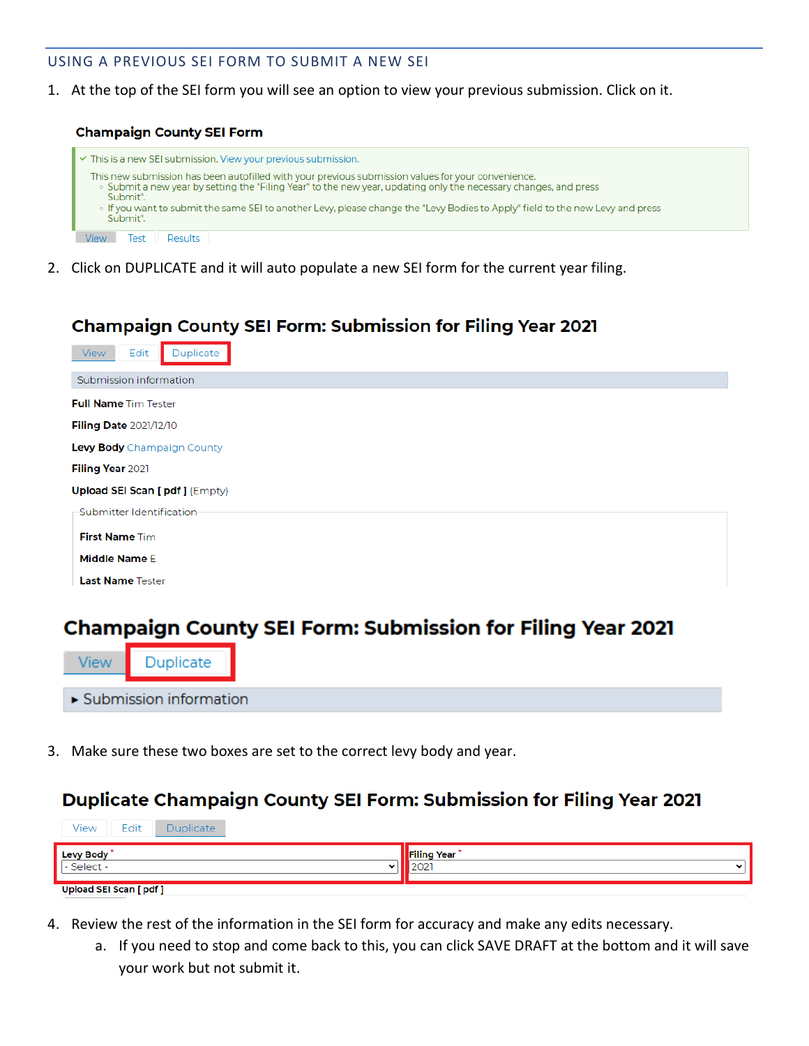### USING A PREVIOUS SEI FORM TO SUBMIT A NEW SEI

1. At the top of the SEI form you will see an option to view your previous submission. Click on it.

#### **Champaign County SEI Form**



2. Click on DUPLICATE and it will auto populate a new SEI form for the current year filing.

# **Champaign County SEI Form: Submission for Filing Year 2021**

| Edit<br>Duplicate<br>View     |
|-------------------------------|
| Submission information        |
| <b>Full Name Tim Tester</b>   |
| Filing Date 2021/12/10        |
| Levy Body Champaign County    |
| Filing Year 2021              |
| Upload SEI Scan [pdf] {Empty} |
| -Submitter Identification-    |
| <b>First Name Tim</b>         |
| <b>Middle Name E</b>          |
| <b>Last Name Tester</b>       |

# **Champaign County SEI Form: Submission for Filing Year 2021**

3. Make sure these two boxes are set to the correct levy body and year.

# **Duplicate Champaign County SEI Form: Submission for Filing Year 2021**

| Edit<br>View<br>Duplicate                           |                                      |
|-----------------------------------------------------|--------------------------------------|
| Levy Body<br>- Select -<br>$\overline{\phantom{a}}$ | <b>Filing Year</b><br>$\overline{ }$ |
| <b>Upload SEI Scan [pdf]</b>                        |                                      |

- 4. Review the rest of the information in the SEI form for accuracy and make any edits necessary.
	- a. If you need to stop and come back to this, you can click SAVE DRAFT at the bottom and it will save your work but not submit it.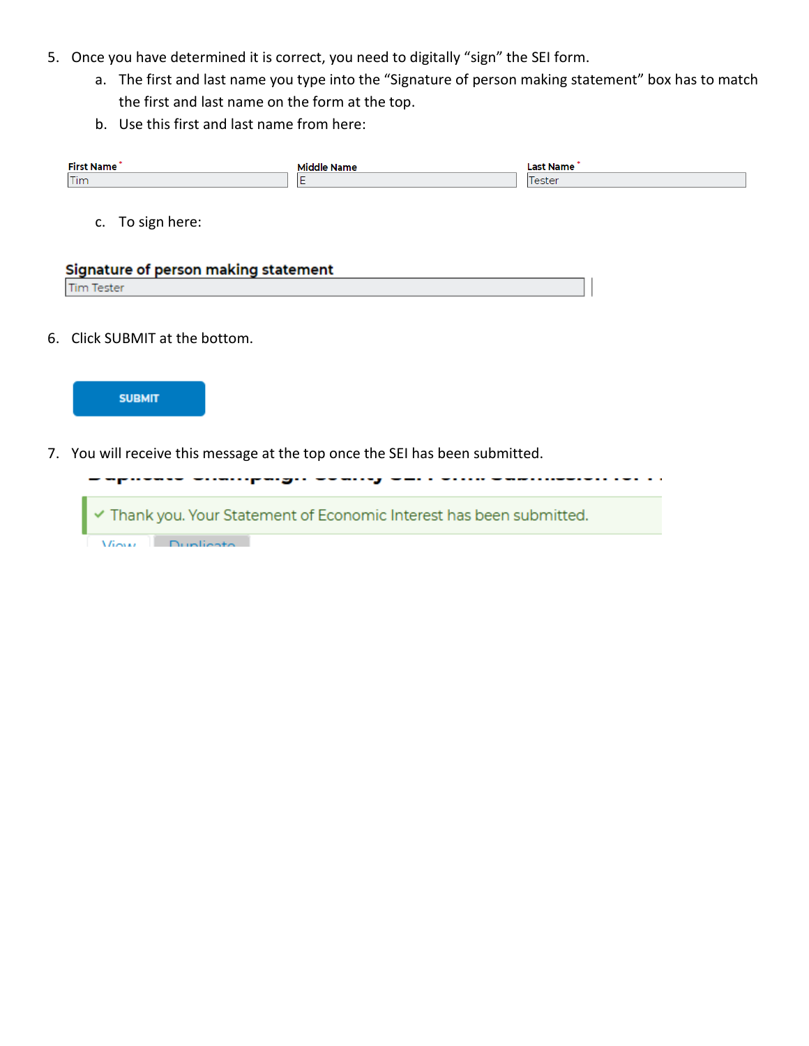- 5. Once you have determined it is correct, you need to digitally "sign" the SEI form.
	- a. The first and last name you type into the "Signature of person making statement" box has to match the first and last name on the form at the top.
	- b. Use this first and last name from here:

| <b>First Name</b> | Middle Name | <b>Last Name</b> |
|-------------------|-------------|------------------|
| Tim               |             | Tester           |
|                   |             |                  |
| c. To sign here:  |             |                  |

| Signature of person making statement |  |
|--------------------------------------|--|
| <b>Tim Tester</b>                    |  |

6. Click SUBMIT at the bottom.



7. You will receive this message at the top once the SEI has been submitted.

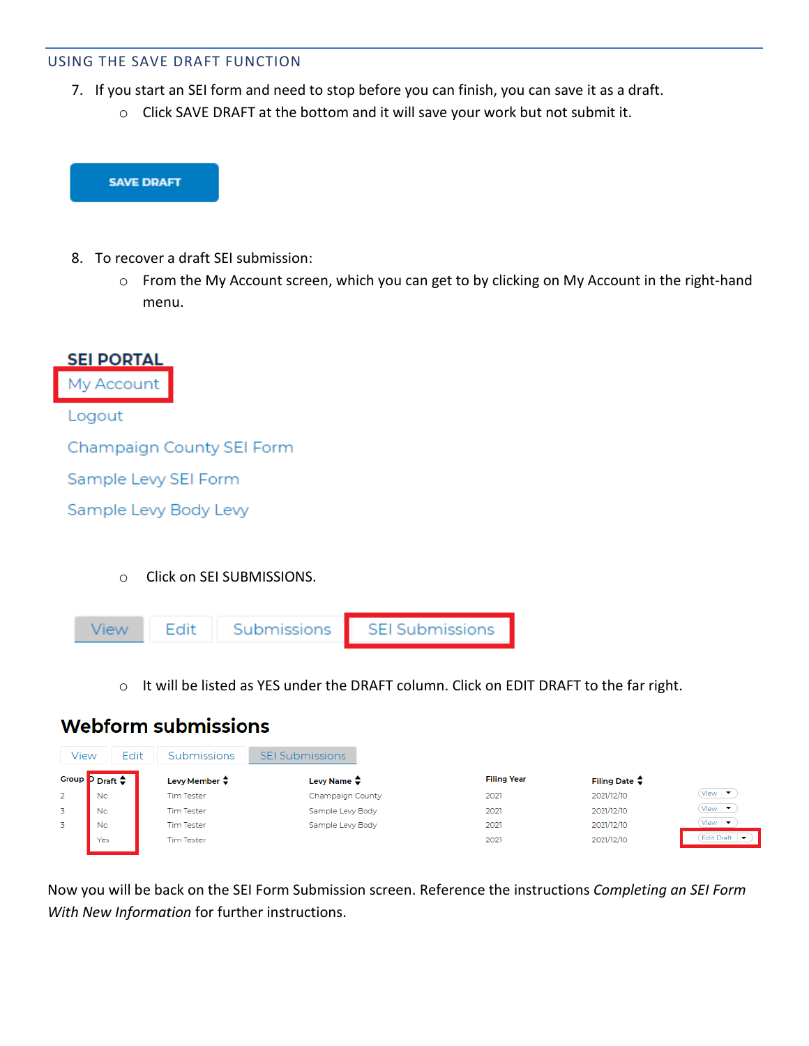### USING THE SAVE DRAFT FUNCTION

- 7. If you start an SEI form and need to stop before you can finish, you can save it as a draft.
	- o Click SAVE DRAFT at the bottom and it will save your work but not submit it.



- 8. To recover a draft SEI submission:
	- o From the My Account screen, which you can get to by clicking on My Account in the right-hand menu.



o Click on SEI SUBMISSIONS.



o It will be listed as YES under the DRAFT column. Click on EDIT DRAFT to the far right.

# **Webform submissions**

| View  | Edit              | Submissions             | <b>Submissions</b><br>SFI |                    |                         |                               |
|-------|-------------------|-------------------------|---------------------------|--------------------|-------------------------|-------------------------------|
| Group | Draft $\triangle$ | Levy Member $\clubsuit$ | Levy Name $\clubsuit$     | <b>Filing Year</b> | Filing Date $\clubsuit$ |                               |
|       | No                | <b>Tim Tester</b>       | Champaign County          | 2021               | 2021/12/10              | View $\bullet$                |
|       | No                | <b>Tim Tester</b>       | Sample Levy Body          | 2021               | 2021/12/10              | $View \rightarrow$            |
|       | No                | <b>Tim Tester</b>       | Sample Levy Body          | 2021               | 2021/12/10              | View $\overline{\phantom{a}}$ |
|       | Yes               | <b>Tim Tester</b>       |                           | 2021               | 2021/12/10              | <b>Edit Draft</b>             |

Now you will be back on the SEI Form Submission screen. Reference the instructions *Completing an SEI Form With New Information* for further instructions.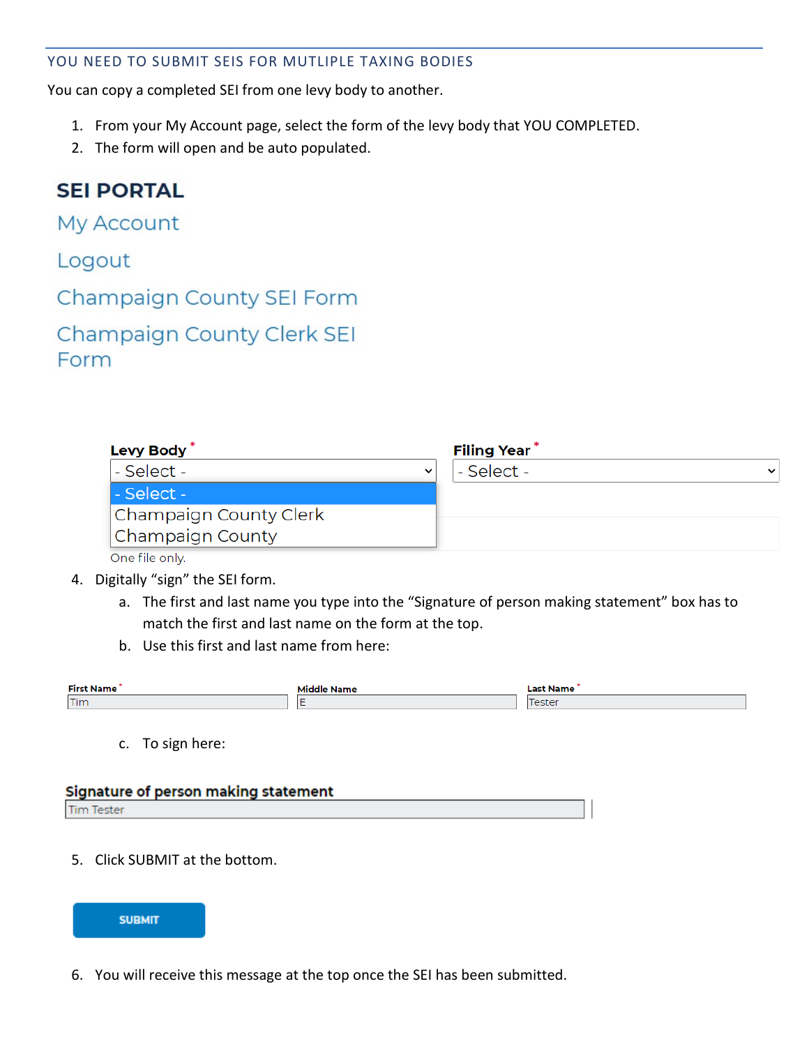### YOU NEED TO SUBMIT SEIS FOR MUTLIPLE TAXING BODIES

You can copy a completed SEI from one levy body to another.

- 1. From your My Account page, select the form of the levy body that YOU COMPLETED.
- 2. The form will open and be auto populated.

# **SEI PORTAL**

My Account

|  | Logout |  |
|--|--------|--|
|  |        |  |
|  |        |  |

Champaign County SEI Form

| <b>Champaign County Clerk SEI</b> |  |  |
|-----------------------------------|--|--|
| Form                              |  |  |

| Levy Body <sup>*</sup> |              | <b>Filing Year</b> |             |
|------------------------|--------------|--------------------|-------------|
| - Select -             | $\checkmark$ | - Select -         | $\check{ }$ |
| - Select -             |              |                    |             |
| Champaign County Clerk |              |                    |             |
| Champaign County       |              |                    |             |
|                        |              |                    |             |

One file only.

- 4. Digitally "sign" the SEI form.
	- a. The first and last name you type into the "Signature of person making statement" box has to match the first and last name on the form at the top.
	- b. Use this first and last name from here:

| <b>First Name</b> | Last Name                |
|-------------------|--------------------------|
| Tim               | $\overline{\phantom{a}}$ |

c. To sign here:

| Signature of person making statement |  |
|--------------------------------------|--|
| <b>Tim Tester</b>                    |  |

5. Click SUBMIT at the bottom.



6. You will receive this message at the top once the SEI has been submitted.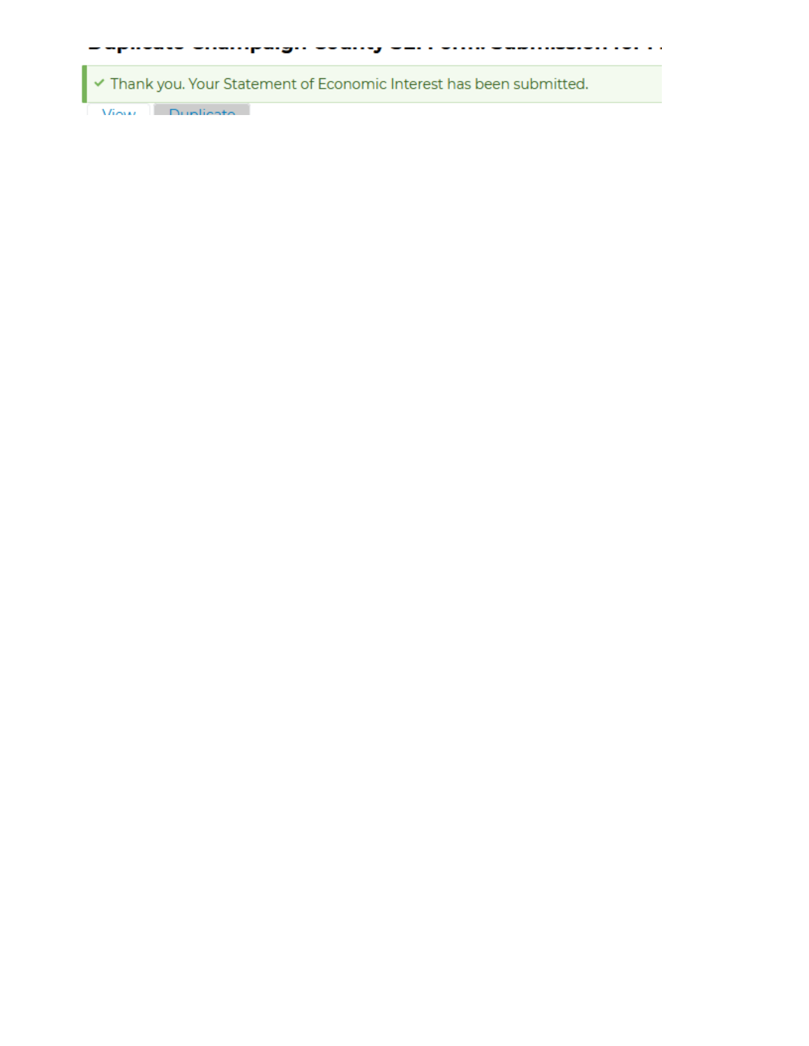Thank you. Your Statement of Economic Interest has been submitted.

a a waaan w

. . . . . . . . . . . . . . . .

View Dupliesto

-posses -compagn ---cog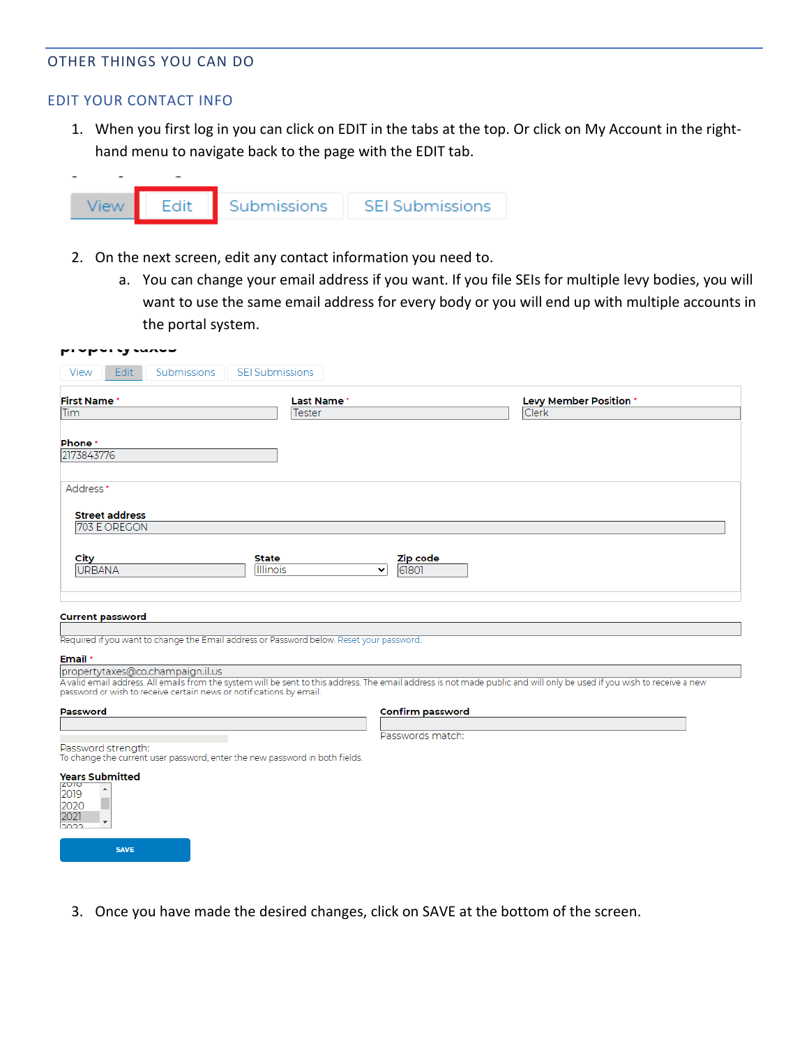#### OTHER THINGS YOU CAN DO

#### EDIT YOUR CONTACT INFO

1. When you first log in you can click on EDIT in the tabs at the top. Or click on My Account in the righthand menu to navigate back to the page with the EDIT tab.



- 2. On the next screen, edit any contact information you need to.
	- a. You can change your email address if you want. If you file SEIs for multiple levy bodies, you will want to use the same email address for every body or you will end up with multiple accounts in the portal system.

| rypury wavo                                                                                                                                                                                                                                    |                          |                                   |                               |
|------------------------------------------------------------------------------------------------------------------------------------------------------------------------------------------------------------------------------------------------|--------------------------|-----------------------------------|-------------------------------|
| Edit<br>Submissions<br>View                                                                                                                                                                                                                    | <b>SEI Submissions</b>   |                                   |                               |
| <b>First Name*</b>                                                                                                                                                                                                                             | <b>Last Name</b> *       |                                   | <b>Levy Member Position *</b> |
| Tim                                                                                                                                                                                                                                            | <b>Tester</b>            |                                   | Clerk                         |
|                                                                                                                                                                                                                                                |                          |                                   |                               |
| Phone *<br>2173843776                                                                                                                                                                                                                          |                          |                                   |                               |
| Address *                                                                                                                                                                                                                                      |                          |                                   |                               |
| <b>Street address</b>                                                                                                                                                                                                                          |                          |                                   |                               |
| 703 E OREGON                                                                                                                                                                                                                                   |                          |                                   |                               |
|                                                                                                                                                                                                                                                |                          |                                   |                               |
| City<br><b>URBANA</b>                                                                                                                                                                                                                          | <b>State</b><br>Illinois | Zip code<br>61801<br>$\checkmark$ |                               |
|                                                                                                                                                                                                                                                |                          |                                   |                               |
|                                                                                                                                                                                                                                                |                          |                                   |                               |
| <b>Current password</b>                                                                                                                                                                                                                        |                          |                                   |                               |
| Required if you want to change the Email address or Password below. Reset your password.                                                                                                                                                       |                          |                                   |                               |
| Email *                                                                                                                                                                                                                                        |                          |                                   |                               |
| propertytaxes@co.champaign.il.us                                                                                                                                                                                                               |                          |                                   |                               |
| A valid email address. All emails from the system will be sent to this address. The email address is not made public and will only be used if you wish to receive a new<br>password or wish to receive certain news or notifications by email. |                          |                                   |                               |
| <b>Password</b>                                                                                                                                                                                                                                |                          | <b>Confirm password</b>           |                               |
|                                                                                                                                                                                                                                                |                          |                                   |                               |
| Password strength:                                                                                                                                                                                                                             |                          | Passwords match:                  |                               |
| To change the current user password, enter the new password in both fields.                                                                                                                                                                    |                          |                                   |                               |
| <b>Years Submitted</b><br>ZUIO<br>$\blacktriangle$                                                                                                                                                                                             |                          |                                   |                               |
| 2019<br>2020                                                                                                                                                                                                                                   |                          |                                   |                               |
| 2021<br>$\overline{\phantom{a}}$                                                                                                                                                                                                               |                          |                                   |                               |
| วิกวว                                                                                                                                                                                                                                          |                          |                                   |                               |
| <b>SAVE</b>                                                                                                                                                                                                                                    |                          |                                   |                               |

3. Once you have made the desired changes, click on SAVE at the bottom of the screen.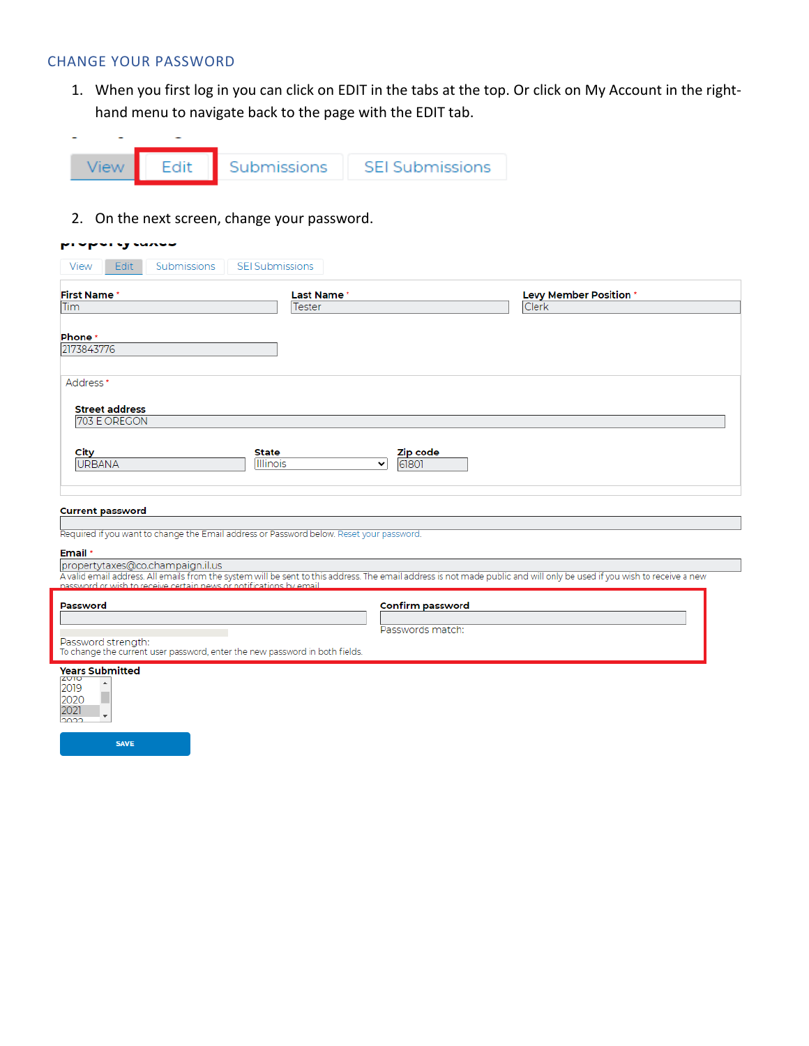#### CHANGE YOUR PASSWORD

1. When you first log in you can click on EDIT in the tabs at the top. Or click on My Account in the righthand menu to navigate back to the page with the EDIT tab.



2. On the next screen, change your password.

| proporty sungo                                                                                    |                                           |                                                                                                                                                                                                           |
|---------------------------------------------------------------------------------------------------|-------------------------------------------|-----------------------------------------------------------------------------------------------------------------------------------------------------------------------------------------------------------|
| Edit<br>Submissions<br>View                                                                       | <b>SEI Submissions</b>                    |                                                                                                                                                                                                           |
| <b>First Name</b>                                                                                 | Last Name*                                | Levy Member Position *                                                                                                                                                                                    |
| Tim                                                                                               | <b>Tester</b>                             | Clerk                                                                                                                                                                                                     |
| Phone *<br>2173843776                                                                             |                                           |                                                                                                                                                                                                           |
| Address *                                                                                         |                                           |                                                                                                                                                                                                           |
| <b>Street address</b><br>703 E OREGON                                                             |                                           |                                                                                                                                                                                                           |
| City<br><b>URBANA</b>                                                                             | State<br>Illinois<br>61801<br>$\check{ }$ | Zip code                                                                                                                                                                                                  |
| <b>Current password</b>                                                                           |                                           |                                                                                                                                                                                                           |
| Required if you want to change the Email address or Password below. Reset your password.          |                                           |                                                                                                                                                                                                           |
| Email *                                                                                           |                                           |                                                                                                                                                                                                           |
| propertytaxes@co.champaign.il.us                                                                  |                                           | A valid email address. All emails from the system will be sent to this address. The email address is not made public and will only be used if you wish to receive a new password or wish to receive a new |
|                                                                                                   |                                           |                                                                                                                                                                                                           |
| Password                                                                                          |                                           | <b>Confirm password</b><br>Passwords match:                                                                                                                                                               |
| Password strength:<br>To change the current user password, enter the new password in both fields. |                                           |                                                                                                                                                                                                           |
| <b>Years Submitted</b><br>ZVIO<br>2019<br>2020<br>2021                                            |                                           |                                                                                                                                                                                                           |

SAVE